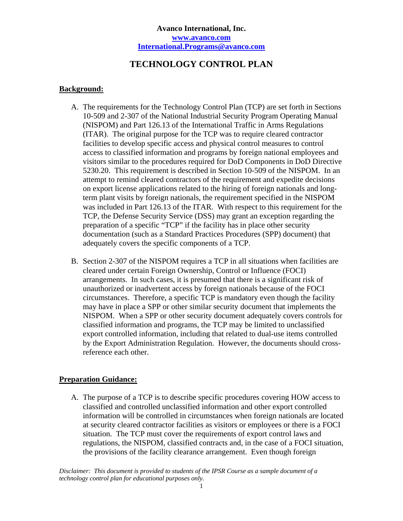# **TECHNOLOGY CONTROL PLAN**

#### **Background:**

- A. The requirements for the Technology Control Plan (TCP) are set forth in Sections 10-509 and 2-307 of the National Industrial Security Program Operating Manual (NISPOM) and Part 126.13 of the International Traffic in Arms Regulations (ITAR). The original purpose for the TCP was to require cleared contractor facilities to develop specific access and physical control measures to control access to classified information and programs by foreign national employees and visitors similar to the procedures required for DoD Components in DoD Directive 5230.20. This requirement is described in Section 10-509 of the NISPOM. In an attempt to remind cleared contractors of the requirement and expedite decisions on export license applications related to the hiring of foreign nationals and longterm plant visits by foreign nationals, the requirement specified in the NISPOM was included in Part 126.13 of the ITAR. With respect to this requirement for the TCP, the Defense Security Service (DSS) may grant an exception regarding the preparation of a specific "TCP" if the facility has in place other security documentation (such as a Standard Practices Procedures (SPP) document) that adequately covers the specific components of a TCP.
- B. Section 2-307 of the NISPOM requires a TCP in all situations when facilities are cleared under certain Foreign Ownership, Control or Influence (FOCI) arrangements. In such cases, it is presumed that there is a significant risk of unauthorized or inadvertent access by foreign nationals because of the FOCI circumstances. Therefore, a specific TCP is mandatory even though the facility may have in place a SPP or other similar security document that implements the NISPOM. When a SPP or other security document adequately covers controls for classified information and programs, the TCP may be limited to unclassified export controlled information, including that related to dual-use items controlled by the Export Administration Regulation. However, the documents should crossreference each other.

#### **Preparation Guidance:**

A. The purpose of a TCP is to describe specific procedures covering HOW access to classified and controlled unclassified information and other export controlled information will be controlled in circumstances when foreign nationals are located at security cleared contractor facilities as visitors or employees or there is a FOCI situation. The TCP must cover the requirements of export control laws and regulations, the NISPOM, classified contracts and, in the case of a FOCI situation, the provisions of the facility clearance arrangement. Even though foreign

*Disclaimer: This document is provided to students of the IPSR Course as a sample document of a technology control plan for educational purposes only.*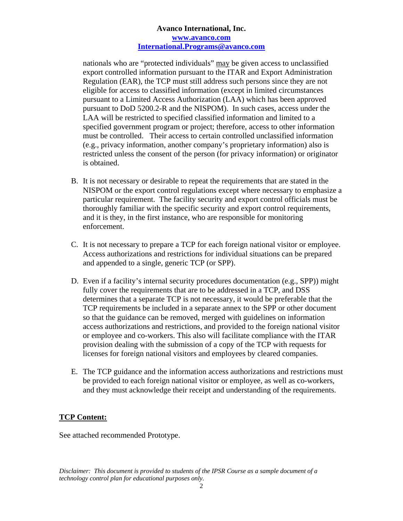nationals who are "protected individuals" may be given access to unclassified export controlled information pursuant to the ITAR and Export Administration Regulation (EAR), the TCP must still address such persons since they are not eligible for access to classified information (except in limited circumstances pursuant to a Limited Access Authorization (LAA) which has been approved pursuant to DoD 5200.2-R and the NISPOM). In such cases, access under the LAA will be restricted to specified classified information and limited to a specified government program or project; therefore, access to other information must be controlled. Their access to certain controlled unclassified information (e.g., privacy information, another company's proprietary information) also is restricted unless the consent of the person (for privacy information) or originator is obtained.

- B. It is not necessary or desirable to repeat the requirements that are stated in the NISPOM or the export control regulations except where necessary to emphasize a particular requirement. The facility security and export control officials must be thoroughly familiar with the specific security and export control requirements, and it is they, in the first instance, who are responsible for monitoring enforcement.
- C. It is not necessary to prepare a TCP for each foreign national visitor or employee. Access authorizations and restrictions for individual situations can be prepared and appended to a single, generic TCP (or SPP).
- D. Even if a facility's internal security procedures documentation (e.g., SPP)) might fully cover the requirements that are to be addressed in a TCP, and DSS determines that a separate TCP is not necessary, it would be preferable that the TCP requirements be included in a separate annex to the SPP or other document so that the guidance can be removed, merged with guidelines on information access authorizations and restrictions, and provided to the foreign national visitor or employee and co-workers. This also will facilitate compliance with the ITAR provision dealing with the submission of a copy of the TCP with requests for licenses for foreign national visitors and employees by cleared companies.
- E. The TCP guidance and the information access authorizations and restrictions must be provided to each foreign national visitor or employee, as well as co-workers, and they must acknowledge their receipt and understanding of the requirements.

#### **TCP Content:**

See attached recommended Prototype.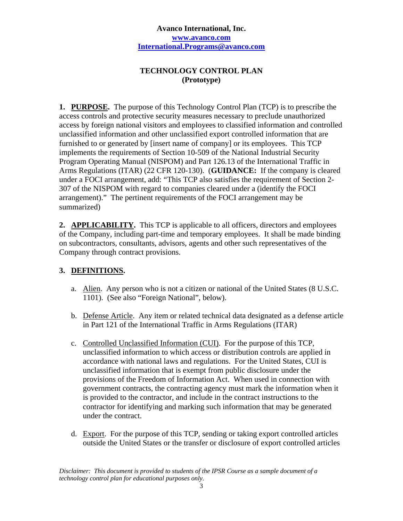## **TECHNOLOGY CONTROL PLAN (Prototype)**

**1. PURPOSE.** The purpose of this Technology Control Plan (TCP) is to prescribe the access controls and protective security measures necessary to preclude unauthorized access by foreign national visitors and employees to classified information and controlled unclassified information and other unclassified export controlled information that are furnished to or generated by [insert name of company] or its employees. This TCP implements the requirements of Section 10-509 of the National Industrial Security Program Operating Manual (NISPOM) and Part 126.13 of the International Traffic in Arms Regulations (ITAR) (22 CFR 120-130). (**GUIDANCE:** If the company is cleared under a FOCI arrangement, add: "This TCP also satisfies the requirement of Section 2- 307 of the NISPOM with regard to companies cleared under a (identify the FOCI arrangement)." The pertinent requirements of the FOCI arrangement may be summarized)

**2. APPLICABILITY.** This TCP is applicable to all officers, directors and employees of the Company, including part-time and temporary employees. It shall be made binding on subcontractors, consultants, advisors, agents and other such representatives of the Company through contract provisions.

# **3. DEFINITIONS.**

- a. Alien. Any person who is not a citizen or national of the United States (8 U.S.C. 1101). (See also "Foreign National", below).
- b. Defense Article. Any item or related technical data designated as a defense article in Part 121 of the International Traffic in Arms Regulations (ITAR)
- c. Controlled Unclassified Information (CUI). For the purpose of this TCP, unclassified information to which access or distribution controls are applied in accordance with national laws and regulations. For the United States, CUI is unclassified information that is exempt from public disclosure under the provisions of the Freedom of Information Act. When used in connection with government contracts, the contracting agency must mark the information when it is provided to the contractor, and include in the contract instructions to the contractor for identifying and marking such information that may be generated under the contract.
- d. Export. For the purpose of this TCP, sending or taking export controlled articles outside the United States or the transfer or disclosure of export controlled articles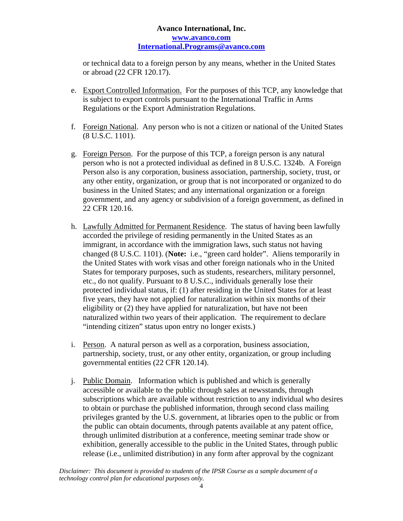or technical data to a foreign person by any means, whether in the United States or abroad (22 CFR 120.17).

- e. Export Controlled Information. For the purposes of this TCP, any knowledge that is subject to export controls pursuant to the International Traffic in Arms Regulations or the Export Administration Regulations.
- f. Foreign National. Any person who is not a citizen or national of the United States (8 U.S.C. 1101).
- g. Foreign Person. For the purpose of this TCP, a foreign person is any natural person who is not a protected individual as defined in 8 U.S.C. 1324b. A Foreign Person also is any corporation, business association, partnership, society, trust, or any other entity, organization, or group that is not incorporated or organized to do business in the United States; and any international organization or a foreign government, and any agency or subdivision of a foreign government, as defined in 22 CFR 120.16.
- h. Lawfully Admitted for Permanent Residence. The status of having been lawfully accorded the privilege of residing permanently in the United States as an immigrant, in accordance with the immigration laws, such status not having changed (8 U.S.C. 1101). (**Note:** i.e., "green card holder". Aliens temporarily in the United States with work visas and other foreign nationals who in the United States for temporary purposes, such as students, researchers, military personnel, etc., do not qualify. Pursuant to 8 U.S.C., individuals generally lose their protected individual status, if: (1) after residing in the United States for at least five years, they have not applied for naturalization within six months of their eligibility or (2) they have applied for naturalization, but have not been naturalized within two years of their application. The requirement to declare "intending citizen" status upon entry no longer exists.)
- i. Person. A natural person as well as a corporation, business association, partnership, society, trust, or any other entity, organization, or group including governmental entities (22 CFR 120.14).
- j. Public Domain. Information which is published and which is generally accessible or available to the public through sales at newsstands, through subscriptions which are available without restriction to any individual who desires to obtain or purchase the published information, through second class mailing privileges granted by the U.S. government, at libraries open to the public or from the public can obtain documents, through patents available at any patent office, through unlimited distribution at a conference, meeting seminar trade show or exhibition, generally accessible to the public in the United States, through public release (i.e., unlimited distribution) in any form after approval by the cognizant

*Disclaimer: This document is provided to students of the IPSR Course as a sample document of a technology control plan for educational purposes only.*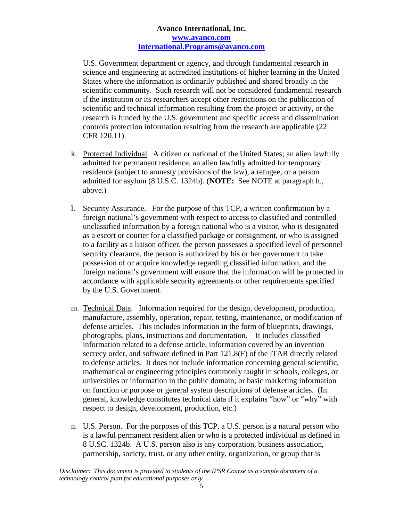U.S. Government department or agency, and through fundamental research in science and engineering at accredited institutions of higher learning in the United States where the information is ordinarily published and shared broadly in the scientific community. Such research will not be considered fundamental research if the institution or its researchers accept other restrictions on the publication of scientific and technical information resulting from the project or activity, or the research is funded by the U.S. government and specific access and dissemination controls protection information resulting from the research are applicable (22 CFR 120.11).

- k. Protected Individual. A citizen or national of the United States; an alien lawfully admitted for permanent residence, an alien lawfully admitted for temporary residence (subject to amnesty provisions of the law), a refugee, or a person admitted for asylum (8 U.S.C. 1324b). (**NOTE:** See NOTE at paragraph h., above.)
- l. Security Assurance. For the purpose of this TCP, a written confirmation by a foreign national's government with respect to access to classified and controlled unclassified information by a foreign national who is a visitor, who is designated as a escort or courier for a classified package or consignment, or who is assigned to a facility as a liaison officer, the person possesses a specified level of personnel security clearance, the person is authorized by his or her government to take possession of or acquire knowledge regarding classified information, and the foreign national's government will ensure that the information will be protected in accordance with applicable security agreements or other requirements specified by the U.S. Government.
- m. Technical Data. Information required for the design, development, production, manufacture, assembly, operation, repair, testing, maintenance, or modification of defense articles. This includes information in the form of blueprints, drawings, photographs, plans, instructions and documentation. It includes classified information related to a defense article, information covered by an invention secrecy order, and software defined in Part 121.8(F) of the ITAR directly related to defense articles. It does not include information concerning general scientific, mathematical or engineering principles commonly taught in schools, colleges, or universities or information in the public domain; or basic marketing information on function or purpose or general system descriptions of defense articles. (In general, knowledge constitutes technical data if it explains "how" or "why" with respect to design, development, production, etc.)
- n. U.S. Person. For the purposes of this TCP, a U.S. person is a natural person who is a lawful permanent resident alien or who is a protected individual as defined in 8 U.SC. 1324b. A U.S. person also is any corporation, business association, partnership, society, trust, or any other entity, organization, or group that is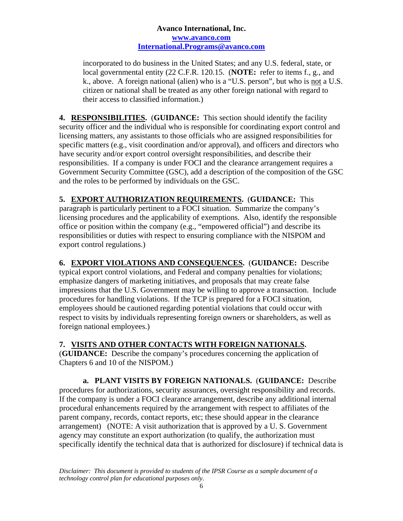incorporated to do business in the United States; and any U.S. federal, state, or local governmental entity (22 C.F.R. 120.15. (**NOTE:** refer to items f., g., and k., above. A foreign national (alien) who is a "U.S. person", but who is not a U.S. citizen or national shall be treated as any other foreign national with regard to their access to classified information.)

**4. RESPONSIBILITIES.** (**GUIDANCE:** This section should identify the facility security officer and the individual who is responsible for coordinating export control and licensing matters, any assistants to those officials who are assigned responsibilities for specific matters (e.g., visit coordination and/or approval), and officers and directors who have security and/or export control oversight responsibilities, and describe their responsibilities. If a company is under FOCI and the clearance arrangement requires a Government Security Committee (GSC), add a description of the composition of the GSC and the roles to be performed by individuals on the GSC.

**5. EXPORT AUTHORIZATION REQUIREMENTS.** (**GUIDANCE:** This

paragraph is particularly pertinent to a FOCI situation. Summarize the company's licensing procedures and the applicability of exemptions. Also, identify the responsible office or position within the company (e.g., "empowered official") and describe its responsibilities or duties with respect to ensuring compliance with the NISPOM and export control regulations.)

**6. EXPORT VIOLATIONS AND CONSEQUENCES.** (**GUIDANCE:** Describe typical export control violations, and Federal and company penalties for violations; emphasize dangers of marketing initiatives, and proposals that may create false impressions that the U.S. Government may be willing to approve a transaction. Include procedures for handling violations. If the TCP is prepared for a FOCI situation, employees should be cautioned regarding potential violations that could occur with respect to visits by individuals representing foreign owners or shareholders, as well as foreign national employees.)

# **7. VISITS AND OTHER CONTACTS WITH FOREIGN NATIONALS.**

(**GUIDANCE:** Describe the company's procedures concerning the application of Chapters 6 and 10 of the NISPOM.)

**a. PLANT VISITS BY FOREIGN NATIONALS.** (**GUIDANCE:** Describe procedures for authorizations, security assurances, oversight responsibility and records. If the company is under a FOCI clearance arrangement, describe any additional internal procedural enhancements required by the arrangement with respect to affiliates of the parent company, records, contact reports, etc; these should appear in the clearance arrangement) (NOTE: A visit authorization that is approved by a U. S. Government agency may constitute an export authorization (to qualify, the authorization must specifically identify the technical data that is authorized for disclosure) if technical data is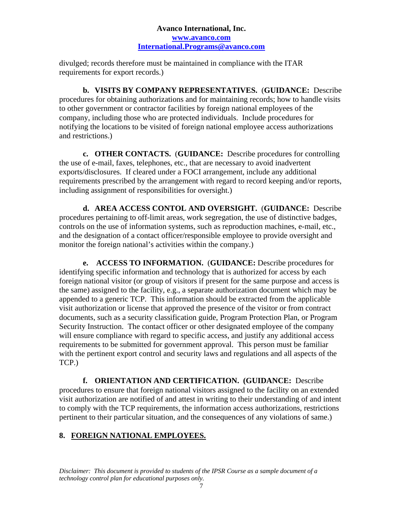divulged; records therefore must be maintained in compliance with the ITAR requirements for export records.)

**b. VISITS BY COMPANY REPRESENTATIVES.** (**GUIDANCE:** Describe procedures for obtaining authorizations and for maintaining records; how to handle visits to other government or contractor facilities by foreign national employees of the company, including those who are protected individuals. Include procedures for notifying the locations to be visited of foreign national employee access authorizations and restrictions.)

**c. OTHER CONTACTS.** (**GUIDANCE:** Describe procedures for controlling the use of e-mail, faxes, telephones, etc., that are necessary to avoid inadvertent exports/disclosures. If cleared under a FOCI arrangement, include any additional requirements prescribed by the arrangement with regard to record keeping and/or reports, including assignment of responsibilities for oversight.)

**d. AREA ACCESS CONTOL AND OVERSIGHT.** (**GUIDANCE:** Describe procedures pertaining to off-limit areas, work segregation, the use of distinctive badges, controls on the use of information systems, such as reproduction machines, e-mail, etc., and the designation of a contact officer/responsible employee to provide oversight and monitor the foreign national's activities within the company.)

**e. ACCESS TO INFORMATION.** (**GUIDANCE:** Describe procedures for identifying specific information and technology that is authorized for access by each foreign national visitor (or group of visitors if present for the same purpose and access is the same) assigned to the facility, e.g., a separate authorization document which may be appended to a generic TCP. This information should be extracted from the applicable visit authorization or license that approved the presence of the visitor or from contract documents, such as a security classification guide, Program Protection Plan, or Program Security Instruction. The contact officer or other designated employee of the company will ensure compliance with regard to specific access, and justify any additional access requirements to be submitted for government approval. This person must be familiar with the pertinent export control and security laws and regulations and all aspects of the TCP.)

 **f. ORIENTATION AND CERTIFICATION. (GUIDANCE:** Describe procedures to ensure that foreign national visitors assigned to the facility on an extended visit authorization are notified of and attest in writing to their understanding of and intent to comply with the TCP requirements, the information access authorizations, restrictions pertinent to their particular situation, and the consequences of any violations of same.)

#### **8. FOREIGN NATIONAL EMPLOYEES.**

*Disclaimer: This document is provided to students of the IPSR Course as a sample document of a technology control plan for educational purposes only.*